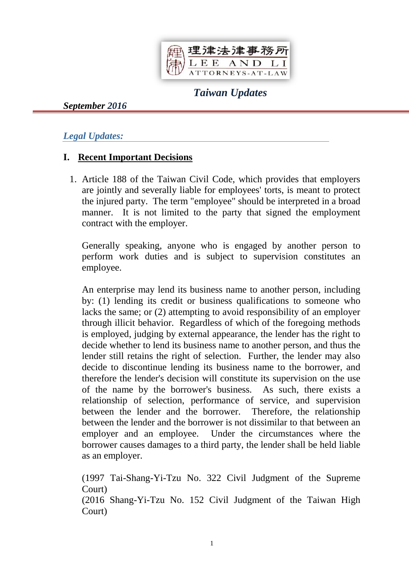

# *Taiwan Updates*

*September 2016*

#### *Legal Updates:*

### **I. Recent Important Decisions**

1. Article 188 of the Taiwan Civil Code, which provides that employers are jointly and severally liable for employees' torts, is meant to protect the injured party. The term "employee" should be interpreted in a broad manner. It is not limited to the party that signed the employment contract with the employer.

Generally speaking, anyone who is engaged by another person to perform work duties and is subject to supervision constitutes an employee.

An enterprise may lend its business name to another person, including by: (1) lending its credit or business qualifications to someone who lacks the same; or (2) attempting to avoid responsibility of an employer through illicit behavior. Regardless of which of the foregoing methods is employed, judging by external appearance, the lender has the right to decide whether to lend its business name to another person, and thus the lender still retains the right of selection. Further, the lender may also decide to discontinue lending its business name to the borrower, and therefore the lender's decision will constitute its supervision on the use of the name by the borrower's business. As such, there exists a relationship of selection, performance of service, and supervision between the lender and the borrower. Therefore, the relationship between the lender and the borrower is not dissimilar to that between an employer and an employee. Under the circumstances where the borrower causes damages to a third party, the lender shall be held liable as an employer.

(1997 Tai-Shang-Yi-Tzu No. 322 Civil Judgment of the Supreme Court)

(2016 Shang-Yi-Tzu No. 152 Civil Judgment of the Taiwan High Court)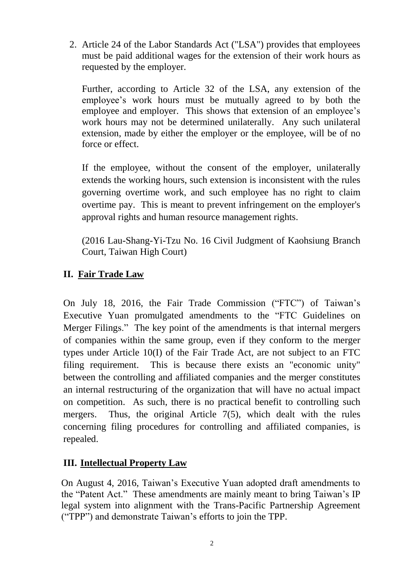2. Article 24 of the Labor Standards Act ("LSA") provides that employees must be paid additional wages for the extension of their work hours as requested by the employer.

Further, according to Article 32 of the LSA, any extension of the employee's work hours must be mutually agreed to by both the employee and employer. This shows that extension of an employee's work hours may not be determined unilaterally. Any such unilateral extension, made by either the employer or the employee, will be of no force or effect.

If the employee, without the consent of the employer, unilaterally extends the working hours, such extension is inconsistent with the rules governing overtime work, and such employee has no right to claim overtime pay. This is meant to prevent infringement on the employer's approval rights and human resource management rights.

(2016 Lau-Shang-Yi-Tzu No. 16 Civil Judgment of Kaohsiung Branch Court, Taiwan High Court)

### **II. Fair Trade Law**

On July 18, 2016, the Fair Trade Commission ("FTC") of Taiwan's Executive Yuan promulgated amendments to the "FTC Guidelines on Merger Filings." The key point of the amendments is that internal mergers of companies within the same group, even if they conform to the merger types under Article 10(I) of the Fair Trade Act, are not subject to an FTC filing requirement. This is because there exists an "economic unity" between the controlling and affiliated companies and the merger constitutes an internal restructuring of the organization that will have no actual impact on competition. As such, there is no practical benefit to controlling such mergers. Thus, the original Article 7(5), which dealt with the rules concerning filing procedures for controlling and affiliated companies, is repealed.

### **III. Intellectual Property Law**

On August 4, 2016, Taiwan's Executive Yuan adopted draft amendments to the "Patent Act." These amendments are mainly meant to bring Taiwan's IP legal system into alignment with the Trans-Pacific Partnership Agreement ("TPP") and demonstrate Taiwan's efforts to join the TPP.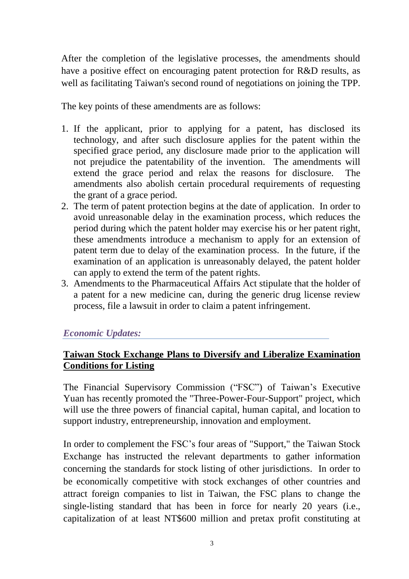After the completion of the legislative processes, the amendments should have a positive effect on encouraging patent protection for R&D results, as well as facilitating Taiwan's second round of negotiations on joining the TPP.

The key points of these amendments are as follows:

- 1. If the applicant, prior to applying for a patent, has disclosed its technology, and after such disclosure applies for the patent within the specified grace period, any disclosure made prior to the application will not prejudice the patentability of the invention. The amendments will extend the grace period and relax the reasons for disclosure. The amendments also abolish certain procedural requirements of requesting the grant of a grace period.
- 2. The term of patent protection begins at the date of application. In order to avoid unreasonable delay in the examination process, which reduces the period during which the patent holder may exercise his or her patent right, these amendments introduce a mechanism to apply for an extension of patent term due to delay of the examination process. In the future, if the examination of an application is unreasonably delayed, the patent holder can apply to extend the term of the patent rights.
- 3. Amendments to the Pharmaceutical Affairs Act stipulate that the holder of a patent for a new medicine can, during the generic drug license review process, file a lawsuit in order to claim a patent infringement.

### *Economic Updates:*

### **Taiwan Stock Exchange Plans to Diversify and Liberalize Examination Conditions for Listing**

The Financial Supervisory Commission ("FSC") of Taiwan's Executive Yuan has recently promoted the "Three-Power-Four-Support" project, which will use the three powers of financial capital, human capital, and location to support industry, entrepreneurship, innovation and employment.

In order to complement the FSC's four areas of "Support," the Taiwan Stock Exchange has instructed the relevant departments to gather information concerning the standards for stock listing of other jurisdictions. In order to be economically competitive with stock exchanges of other countries and attract foreign companies to list in Taiwan, the FSC plans to change the single-listing standard that has been in force for nearly 20 years (i.e., capitalization of at least NT\$600 million and pretax profit constituting at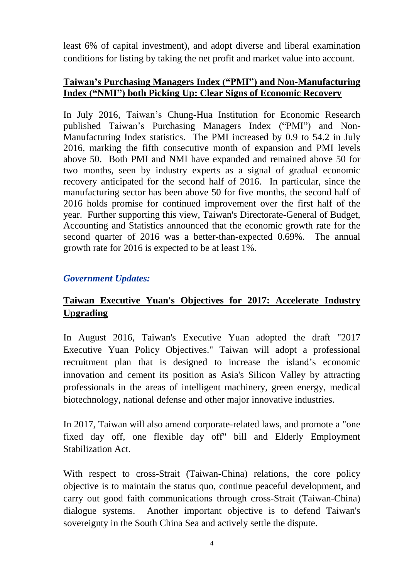least 6% of capital investment), and adopt diverse and liberal examination conditions for listing by taking the net profit and market value into account.

#### **Taiwan's Purchasing Managers Index ("PMI") and Non-Manufacturing Index ("NMI") both Picking Up: Clear Signs of Economic Recovery**

In July 2016, Taiwan's Chung-Hua Institution for Economic Research published Taiwan's Purchasing Managers Index ("PMI") and Non-Manufacturing Index statistics. The PMI increased by 0.9 to 54.2 in July 2016, marking the fifth consecutive month of expansion and PMI levels above 50. Both PMI and NMI have expanded and remained above 50 for two months, seen by industry experts as a signal of gradual economic recovery anticipated for the second half of 2016. In particular, since the manufacturing sector has been above 50 for five months, the second half of 2016 holds promise for continued improvement over the first half of the year. Further supporting this view, Taiwan's Directorate-General of Budget, Accounting and Statistics announced that the economic growth rate for the second quarter of 2016 was a better-than-expected 0.69%. The annual growth rate for 2016 is expected to be at least 1%.

### *Government Updates:*

## **Taiwan Executive Yuan's Objectives for 2017: Accelerate Industry Upgrading**

In August 2016, Taiwan's Executive Yuan adopted the draft "2017 Executive Yuan Policy Objectives." Taiwan will adopt a professional recruitment plan that is designed to increase the island's economic innovation and cement its position as Asia's Silicon Valley by attracting professionals in the areas of intelligent machinery, green energy, medical biotechnology, national defense and other major innovative industries.

In 2017, Taiwan will also amend corporate-related laws, and promote a "one fixed day off, one flexible day off" bill and Elderly Employment Stabilization Act.

With respect to cross-Strait (Taiwan-China) relations, the core policy objective is to maintain the status quo, continue peaceful development, and carry out good faith communications through cross-Strait (Taiwan-China) dialogue systems. Another important objective is to defend Taiwan's sovereignty in the South China Sea and actively settle the dispute.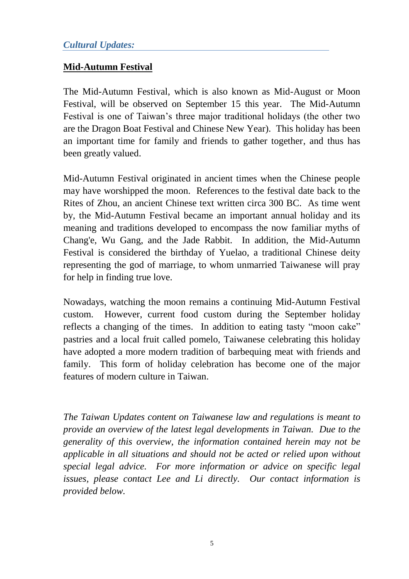### **Mid-Autumn Festival**

The Mid-Autumn Festival, which is also known as Mid-August or Moon Festival, will be observed on September 15 this year. The Mid-Autumn Festival is one of Taiwan's three major traditional holidays (the other two are the Dragon Boat Festival and Chinese New Year). This holiday has been an important time for family and friends to gather together, and thus has been greatly valued.

Mid-Autumn Festival originated in ancient times when the Chinese people may have worshipped the moon. References to the festival date back to the Rites of Zhou, an ancient Chinese text written circa 300 BC. As time went by, the Mid-Autumn Festival became an important annual holiday and its meaning and traditions developed to encompass the now familiar myths of Chang'e, Wu Gang, and the Jade Rabbit. In addition, the Mid-Autumn Festival is considered the birthday of Yuelao, a traditional Chinese deity representing the god of marriage, to whom unmarried Taiwanese will pray for help in finding true love.

Nowadays, watching the moon remains a continuing Mid-Autumn Festival custom. However, current food custom during the September holiday reflects a changing of the times. In addition to eating tasty "moon cake" pastries and a local fruit called pomelo, Taiwanese celebrating this holiday have adopted a more modern tradition of barbequing meat with friends and family. This form of holiday celebration has become one of the major features of modern culture in Taiwan.

*The Taiwan Updates content on Taiwanese law and regulations is meant to provide an overview of the latest legal developments in Taiwan. Due to the generality of this overview, the information contained herein may not be applicable in all situations and should not be acted or relied upon without special legal advice. For more information or advice on specific legal issues, please contact Lee and Li directly. Our contact information is provided below.*